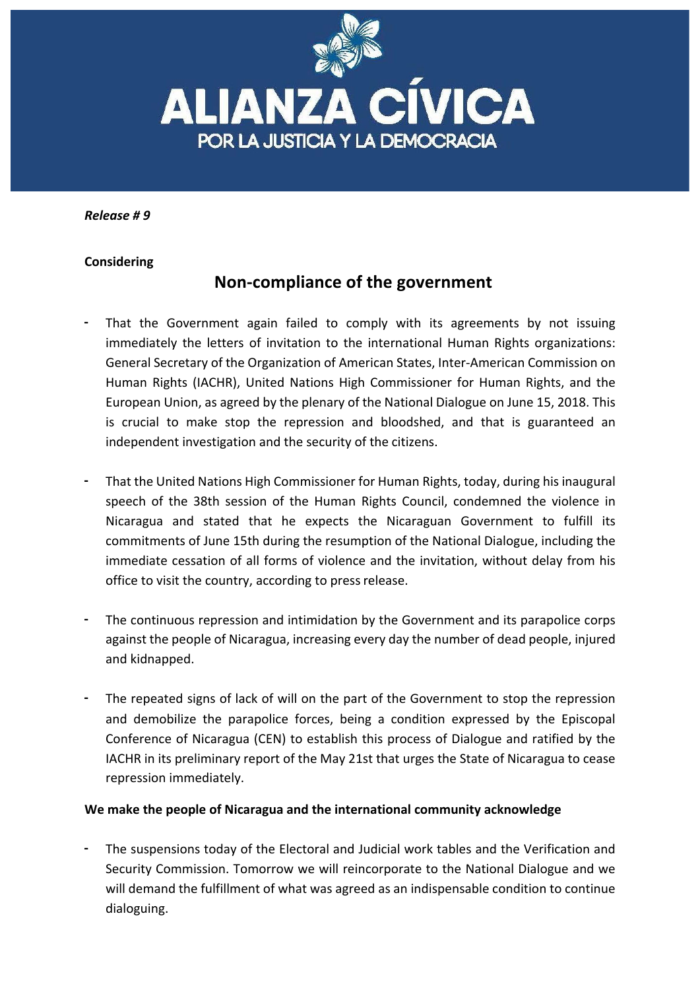

*Release # 9*

## **Considering**

## **Non-compliance of the government**

- That the Government again failed to comply with its agreements by not issuing immediately the letters of invitation to the international Human Rights organizations: General Secretary of the Organization of American States, Inter-American Commission on Human Rights (IACHR), United Nations High Commissioner for Human Rights, and the European Union, as agreed by the plenary of the National Dialogue on June 15, 2018. This is crucial to make stop the repression and bloodshed, and that is guaranteed an independent investigation and the security of the citizens.
- That the United Nations High Commissioner for Human Rights, today, during his inaugural speech of the 38th session of the Human Rights Council, condemned the violence in Nicaragua and stated that he expects the Nicaraguan Government to fulfill its commitments of June 15th during the resumption of the National Dialogue, including the immediate cessation of all forms of violence and the invitation, without delay from his office to visit the country, according to press release.
- The continuous repression and intimidation by the Government and its parapolice corps against the people of Nicaragua, increasing every day the number of dead people, injured and kidnapped.
- The repeated signs of lack of will on the part of the Government to stop the repression and demobilize the parapolice forces, being a condition expressed by the Episcopal Conference of Nicaragua (CEN) to establish this process of Dialogue and ratified by the IACHR in its preliminary report of the May 21st that urges the State of Nicaragua to cease repression immediately.

## We make the people of Nicaragua and the international community acknowledge

The suspensions today of the Electoral and Judicial work tables and the Verification and Security Commission. Tomorrow we will reincorporate to the National Dialogue and we will demand the fulfillment of what was agreed as an indispensable condition to continue dialoguing.